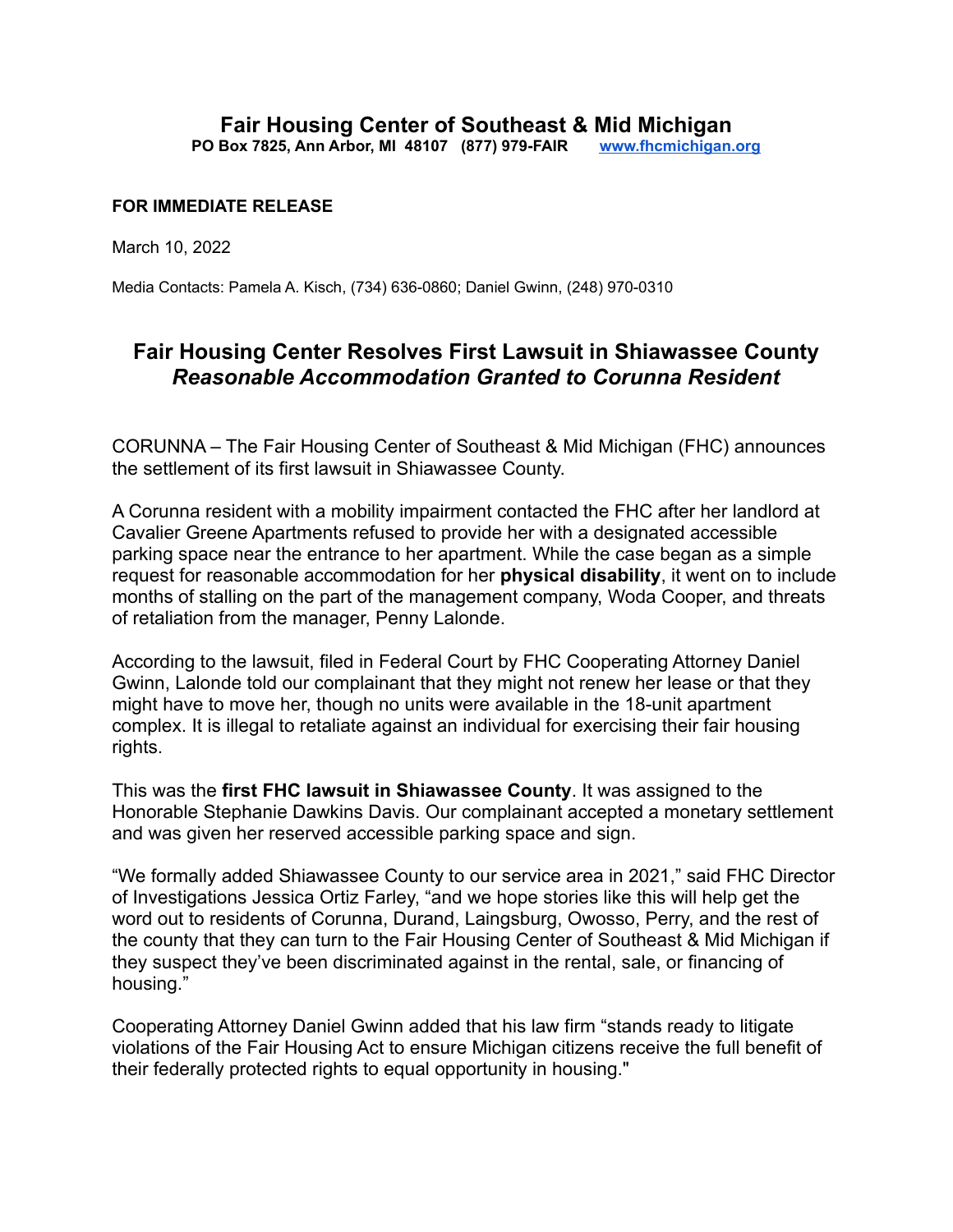## **FOR IMMEDIATE RELEASE**

March 10, 2022

Media Contacts: Pamela A. Kisch, (734) 636-0860; Daniel Gwinn, (248) 970-0310

## **Fair Housing Center Resolves First Lawsuit in Shiawassee County** *Reasonable Accommodation Granted to Corunna Resident*

CORUNNA – The Fair Housing Center of Southeast & Mid Michigan (FHC) announces the settlement of its first lawsuit in Shiawassee County.

A Corunna resident with a mobility impairment contacted the FHC after her landlord at Cavalier Greene Apartments refused to provide her with a designated accessible parking space near the entrance to her apartment. While the case began as a simple request for reasonable accommodation for her **physical disability**, it went on to include months of stalling on the part of the management company, Woda Cooper, and threats of retaliation from the manager, Penny Lalonde.

According to the lawsuit, filed in Federal Court by FHC Cooperating Attorney Daniel Gwinn, Lalonde told our complainant that they might not renew her lease or that they might have to move her, though no units were available in the 18-unit apartment complex. It is illegal to retaliate against an individual for exercising their fair housing rights.

This was the **first FHC lawsuit in Shiawassee County**. It was assigned to the Honorable Stephanie Dawkins Davis. Our complainant accepted a monetary settlement and was given her reserved accessible parking space and sign.

"We formally added Shiawassee County to our service area in 2021," said FHC Director of Investigations Jessica Ortiz Farley, "and we hope stories like this will help get the word out to residents of Corunna, Durand, Laingsburg, Owosso, Perry, and the rest of the county that they can turn to the Fair Housing Center of Southeast & Mid Michigan if they suspect they've been discriminated against in the rental, sale, or financing of housing."

Cooperating Attorney Daniel Gwinn added that his law firm "stands ready to litigate violations of the Fair Housing Act to ensure Michigan citizens receive the full benefit of their federally protected rights to equal opportunity in housing."